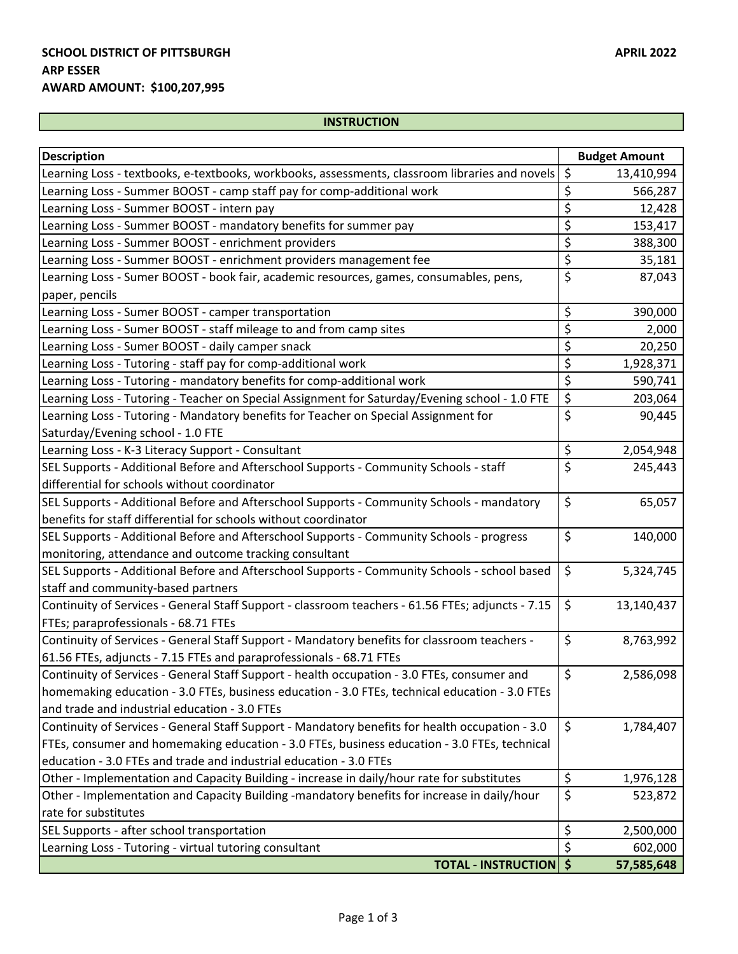## **INSTRUCTION**

| <b>Description</b>                                                                                |                  | <b>Budget Amount</b> |
|---------------------------------------------------------------------------------------------------|------------------|----------------------|
| Learning Loss - textbooks, e-textbooks, workbooks, assessments, classroom libraries and novels    | \$               | 13,410,994           |
| Learning Loss - Summer BOOST - camp staff pay for comp-additional work                            | \$               | 566,287              |
| Learning Loss - Summer BOOST - intern pay                                                         | \$               | 12,428               |
| Learning Loss - Summer BOOST - mandatory benefits for summer pay                                  | \$               | 153,417              |
| Learning Loss - Summer BOOST - enrichment providers                                               | \$               | 388,300              |
| Learning Loss - Summer BOOST - enrichment providers management fee                                | \$               | 35,181               |
| Learning Loss - Sumer BOOST - book fair, academic resources, games, consumables, pens,            | \$               | 87,043               |
| paper, pencils                                                                                    |                  |                      |
| Learning Loss - Sumer BOOST - camper transportation                                               | \$               | 390,000              |
| Learning Loss - Sumer BOOST - staff mileage to and from camp sites                                | \$               | 2,000                |
| Learning Loss - Sumer BOOST - daily camper snack                                                  | \$               | 20,250               |
| Learning Loss - Tutoring - staff pay for comp-additional work                                     | \$               | 1,928,371            |
| Learning Loss - Tutoring - mandatory benefits for comp-additional work                            | \$               | 590,741              |
| Learning Loss - Tutoring - Teacher on Special Assignment for Saturday/Evening school - 1.0 FTE    | \$               | 203,064              |
| Learning Loss - Tutoring - Mandatory benefits for Teacher on Special Assignment for               | \$               | 90,445               |
| Saturday/Evening school - 1.0 FTE                                                                 |                  |                      |
| Learning Loss - K-3 Literacy Support - Consultant                                                 | \$               | 2,054,948            |
| SEL Supports - Additional Before and Afterschool Supports - Community Schools - staff             | $\overline{\xi}$ | 245,443              |
| differential for schools without coordinator                                                      |                  |                      |
| SEL Supports - Additional Before and Afterschool Supports - Community Schools - mandatory         | $\zeta$          | 65,057               |
| benefits for staff differential for schools without coordinator                                   |                  |                      |
| SEL Supports - Additional Before and Afterschool Supports - Community Schools - progress          | $\zeta$          | 140,000              |
| monitoring, attendance and outcome tracking consultant                                            |                  |                      |
| SEL Supports - Additional Before and Afterschool Supports - Community Schools - school based      | \$               | 5,324,745            |
| staff and community-based partners                                                                |                  |                      |
| Continuity of Services - General Staff Support - classroom teachers - 61.56 FTEs; adjuncts - 7.15 | $\zeta$          | 13,140,437           |
| FTEs; paraprofessionals - 68.71 FTEs                                                              |                  |                      |
| Continuity of Services - General Staff Support - Mandatory benefits for classroom teachers -      | $\zeta$          | 8,763,992            |
| 61.56 FTEs, adjuncts - 7.15 FTEs and paraprofessionals - 68.71 FTEs                               |                  |                      |
| Continuity of Services - General Staff Support - health occupation - 3.0 FTEs, consumer and       | \$               | 2,586,098            |
| homemaking education - 3.0 FTEs, business education - 3.0 FTEs, technical education - 3.0 FTEs    |                  |                      |
| and trade and industrial education - 3.0 FTEs                                                     |                  |                      |
| Continuity of Services - General Staff Support - Mandatory benefits for health occupation - 3.0   | $\zeta$          | 1,784,407            |
| FTEs, consumer and homemaking education - 3.0 FTEs, business education - 3.0 FTEs, technical      |                  |                      |
| education - 3.0 FTEs and trade and industrial education - 3.0 FTEs                                |                  |                      |
| Other - Implementation and Capacity Building - increase in daily/hour rate for substitutes        | \$               | 1,976,128            |
| Other - Implementation and Capacity Building -mandatory benefits for increase in daily/hour       | \$               | 523,872              |
| rate for substitutes                                                                              |                  |                      |
| SEL Supports - after school transportation                                                        | \$               | 2,500,000            |
| Learning Loss - Tutoring - virtual tutoring consultant                                            | \$               | 602,000              |
| <b>TOTAL - INSTRUCTION   \$</b>                                                                   |                  | 57,585,648           |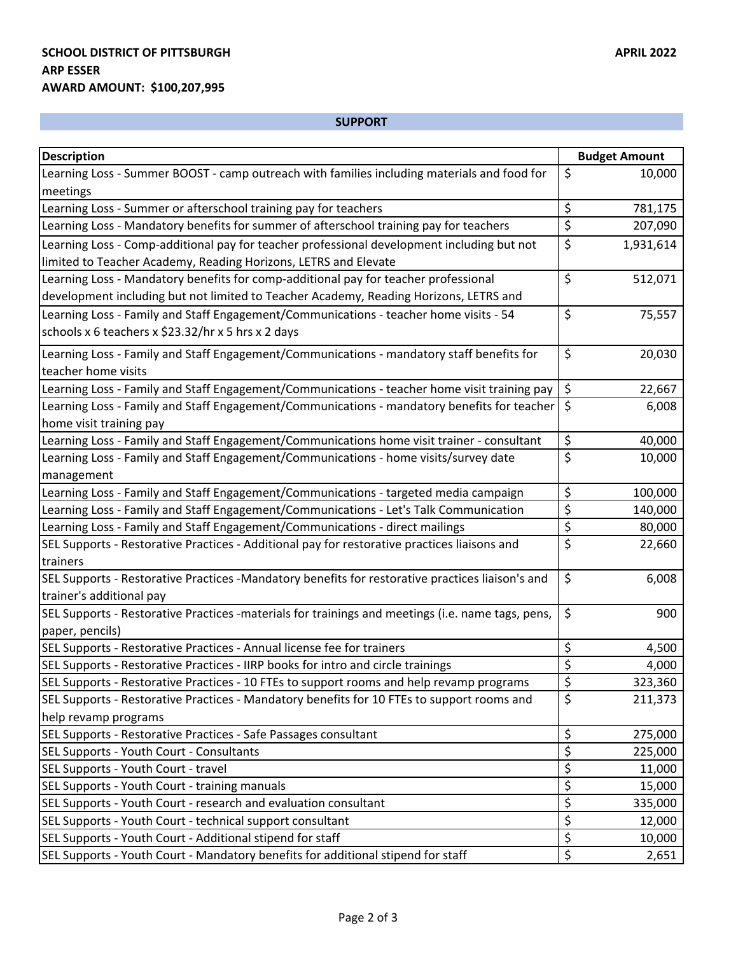## **SUPPORT**

| <b>Description</b>                                                                                | <b>Budget Amount</b> |
|---------------------------------------------------------------------------------------------------|----------------------|
| Learning Loss - Summer BOOST - camp outreach with families including materials and food for       | \$<br>10,000         |
| meetings                                                                                          |                      |
| Learning Loss - Summer or afterschool training pay for teachers                                   | \$<br>781,175        |
| Learning Loss - Mandatory benefits for summer of afterschool training pay for teachers            | \$<br>207,090        |
| Learning Loss - Comp-additional pay for teacher professional development including but not        | \$<br>1,931,614      |
| limited to Teacher Academy, Reading Horizons, LETRS and Elevate                                   |                      |
| Learning Loss - Mandatory benefits for comp-additional pay for teacher professional               | \$<br>512,071        |
| development including but not limited to Teacher Academy, Reading Horizons, LETRS and             |                      |
| Learning Loss - Family and Staff Engagement/Communications - teacher home visits - 54             | \$<br>75,557         |
| schools x 6 teachers x \$23.32/hr x 5 hrs x 2 days                                                |                      |
| Learning Loss - Family and Staff Engagement/Communications - mandatory staff benefits for         | \$<br>20,030         |
| teacher home visits                                                                               |                      |
| Learning Loss - Family and Staff Engagement/Communications - teacher home visit training pay      | $\zeta$<br>22,667    |
| Learning Loss - Family and Staff Engagement/Communications - mandatory benefits for teacher       | \$<br>6,008          |
| home visit training pay                                                                           |                      |
| Learning Loss - Family and Staff Engagement/Communications home visit trainer - consultant        | \$<br>40,000         |
| Learning Loss - Family and Staff Engagement/Communications - home visits/survey date              | \$<br>10,000         |
| management                                                                                        |                      |
| Learning Loss - Family and Staff Engagement/Communications - targeted media campaign              | \$<br>100,000        |
| Learning Loss - Family and Staff Engagement/Communications - Let's Talk Communication             | \$<br>140,000        |
| Learning Loss - Family and Staff Engagement/Communications - direct mailings                      | \$<br>80,000         |
| SEL Supports - Restorative Practices - Additional pay for restorative practices liaisons and      | \$<br>22,660         |
| trainers                                                                                          |                      |
| SEL Supports - Restorative Practices -Mandatory benefits for restorative practices liaison's and  | $\zeta$<br>6,008     |
| trainer's additional pay                                                                          |                      |
| SEL Supports - Restorative Practices -materials for trainings and meetings (i.e. name tags, pens, | \$<br>900            |
| paper, pencils)                                                                                   |                      |
| SEL Supports - Restorative Practices - Annual license fee for trainers                            | \$<br>4,500          |
| SEL Supports - Restorative Practices - IIRP books for intro and circle trainings                  | \$<br>4,000          |
| SEL Supports - Restorative Practices - 10 FTEs to support rooms and help revamp programs          | ς<br>323,360<br>ب    |
| SEL Supports - Restorative Practices - Mandatory benefits for 10 FTEs to support rooms and        | $\zeta$<br>211,373   |
| help revamp programs                                                                              |                      |
| SEL Supports - Restorative Practices - Safe Passages consultant                                   | \$<br>275,000        |
| SEL Supports - Youth Court - Consultants                                                          | \$<br>225,000        |
| SEL Supports - Youth Court - travel                                                               | \$<br>11,000         |
| SEL Supports - Youth Court - training manuals                                                     | \$<br>15,000         |
| SEL Supports - Youth Court - research and evaluation consultant                                   | \$<br>335,000        |
| SEL Supports - Youth Court - technical support consultant                                         | \$<br>12,000         |
| SEL Supports - Youth Court - Additional stipend for staff                                         | \$<br>10,000         |
| SEL Supports - Youth Court - Mandatory benefits for additional stipend for staff                  | \$<br>2,651          |